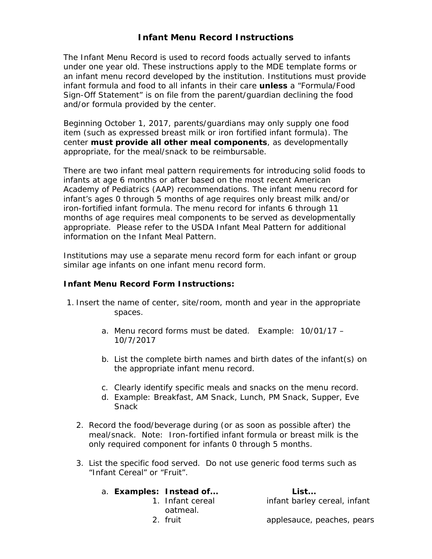## **Infant Menu Record Instructions**

The Infant Menu Record is used to record foods actually served to infants under one year old. These instructions apply to the MDE template forms or an infant menu record developed by the institution. Institutions must provide infant formula and food to all infants in their care *unless* a "Formula/Food Sign-Off Statement" is on file from the parent/guardian declining the food and/or formula provided by the center.

Beginning October 1, 2017, parents/guardians may only supply one food item (such as expressed breast milk or iron fortified infant formula). The center *must provide all other meal components*, as developmentally appropriate, for the meal/snack to be reimbursable.

There are two infant meal pattern requirements for introducing solid foods to infants at age 6 months or after based on the most recent American Academy of Pediatrics (AAP) recommendations. The infant menu record for infant's ages 0 through 5 months of age requires only breast milk and/or iron-fortified infant formula. The menu record for infants 6 through 11 months of age requires meal components to be served as developmentally appropriate. Please refer to the USDA Infant Meal Pattern for additional information on the Infant Meal Pattern.

Institutions may use a separate menu record form for each infant or group similar age infants on one infant menu record form.

## **Infant Menu Record Form Instructions:**

- 1. Insert the name of center, site/room, month and year in the appropriate spaces.
	- a. Menu record forms must be dated. *Example:* 10/01/17 10/7/2017
	- b. List the complete birth names and birth dates of the infant(s) on the appropriate infant menu record.
	- c. Clearly identify specific meals and snacks on the menu record.
	- d. *Example:* Breakfast, AM Snack, Lunch, PM Snack, Supper, Eve Snack
	- 2. Record the food/beverage during (or as soon as possible after) the meal/snack. *Note:* Iron-fortified infant formula or breast milk is the only required component for infants 0 through 5 months.
	- 3. List the specific food served. Do not use generic food terms such as "Infant Cereal" or "Fruit".

|  | a. Examples: Instead of | List                         |
|--|-------------------------|------------------------------|
|  | 1. Infant cereal        | infant barley cereal, infant |
|  | oatmeal.                |                              |
|  | 2. fruit                | applesauce, peaches, pears   |